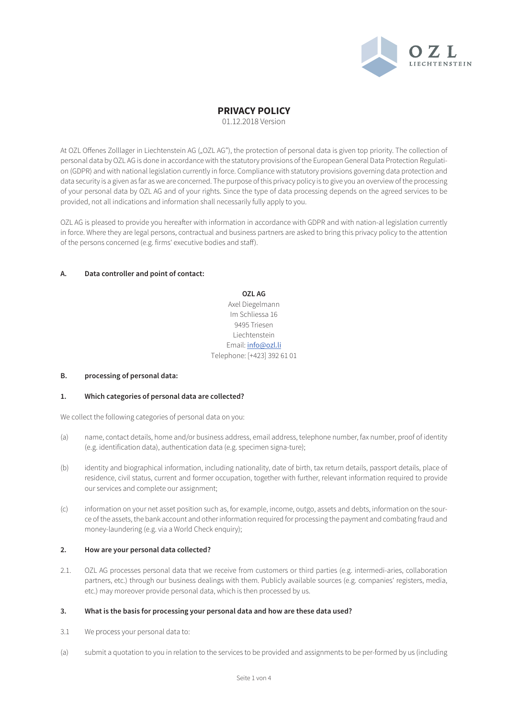

01.12.2018 Version

At OZL Offenes Zolllager in Liechtenstein AG ("OZL AG"), the protection of personal data is given top priority. The collection of personal data by OZL AG is done in accordance with the statutory provisions of the European General Data Protection Regulation (GDPR) and with national legislation currently in force. Compliance with statutory provisions governing data protection and data security is a given as far as we are concerned. The purpose of this privacy policy is to give you an overview of the processing of your personal data by OZL AG and of your rights. Since the type of data processing depends on the agreed services to be provided, not all indications and information shall necessarily fully apply to you.

OZL AG is pleased to provide you hereafter with information in accordance with GDPR and with nation-al legislation currently in force. Where they are legal persons, contractual and business partners are asked to bring this privacy policy to the attention of the persons concerned (e.g. firms' executive bodies and staff).

### **A. Data controller and point of contact:**

**OZL AG** Axel Diegelmann Im Schliessa 16 9495 Triesen Liechtenstein Email: info@ozl.li Telephone: [+423] 392 61 01

#### **B. processing of personal data:**

## **1. Which categories of personal data are collected?**

We collect the following categories of personal data on you:

- (a) name, contact details, home and/or business address, email address, telephone number, fax number, proof of identity (e.g. identification data), authentication data (e.g. specimen signa-ture);
- (b) identity and biographical information, including nationality, date of birth, tax return details, passport details, place of residence, civil status, current and former occupation, together with further, relevant information required to provide our services and complete our assignment;
- (c) information on your net asset position such as, for example, income, outgo, assets and debts, information on the source of the assets, the bank account and other information required for processing the payment and combating fraud and money-laundering (e.g. via a World Check enquiry);

### **2. How are your personal data collected?**

2.1. OZL AG processes personal data that we receive from customers or third parties (e.g. intermedi-aries, collaboration partners, etc.) through our business dealings with them. Publicly available sources (e.g. companies' registers, media, etc.) may moreover provide personal data, which is then processed by us.

#### **3. What is the basis for processing your personal data and how are these data used?**

- 3.1 We process your personal data to:
- (a) submit a quotation to you in relation to the services to be provided and assignments to be per-formed by us (including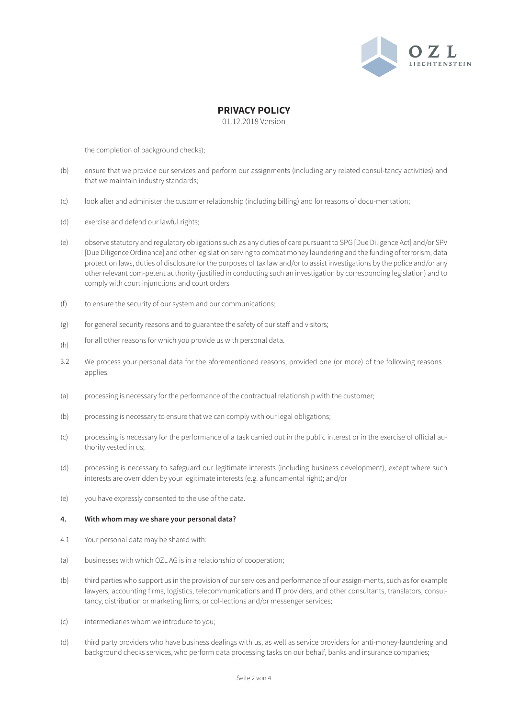

01.12.2018 Version

the completion of background checks);

- (b) ensure that we provide our services and perform our assignments (including any related consul-tancy activities) and that we maintain industry standards;
- (c) look after and administer the customer relationship (including billing) and for reasons of docu-mentation;
- (d) exercise and defend our lawful rights;
- (e) observe statutory and regulatory obligations such as any duties of care pursuant to SPG [Due Diligence Act] and/or SPV [Due Diligence Ordinance] and other legislation serving to combat money laundering and the funding of terrorism, data protection laws, duties of disclosure for the purposes of tax law and/or to assist investigations by the police and/or any other relevant com-petent authority (justified in conducting such an investigation by corresponding legislation) and to comply with court injunctions and court orders
- (f) to ensure the security of our system and our communications;
- (g) for general security reasons and to guarantee the safety of our staff and visitors;
- (h) for all other reasons for which you provide us with personal data.
- 3.2 We process your personal data for the aforementioned reasons, provided one (or more) of the following reasons applies:
- (a) processing is necessary for the performance of the contractual relationship with the customer;
- (b) processing is necessary to ensure that we can comply with our legal obligations;
- (c) processing is necessary for the performance of a task carried out in the public interest or in the exercise of official authority vested in us;
- (d) processing is necessary to safeguard our legitimate interests (including business development), except where such interests are overridden by your legitimate interests (e.g. a fundamental right); and/or
- (e) you have expressly consented to the use of the data.

#### **4. With whom may we share your personal data?**

- 4.1 Your personal data may be shared with:
- (a) businesses with which OZL AG is in a relationship of cooperation;
- (b) third parties who support us in the provision of our services and performance of our assign-ments, such as for example lawyers, accounting firms, logistics, telecommunications and IT providers, and other consultants, translators, consultancy, distribution or marketing firms, or col-lections and/or messenger services;
- (c) intermediaries whom we introduce to you;
- (d) third party providers who have business dealings with us, as well as service providers for anti-money-laundering and background checks services, who perform data processing tasks on our behalf, banks and insurance companies;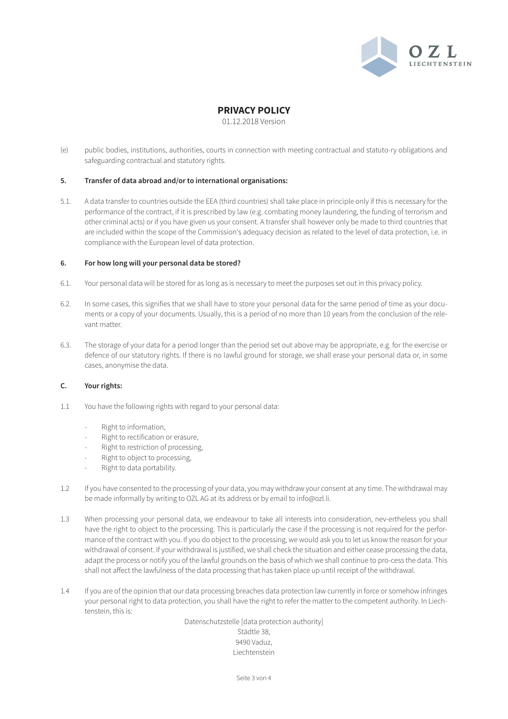

01.12.2018 Version

(e) public bodies, institutions, authorities, courts in connection with meeting contractual and statuto-ry obligations and safeguarding contractual and statutory rights.

#### **5. Transfer of data abroad and/or to international organisations:**

5.1. A data transfer to countries outside the EEA (third countries) shall take place in principle only if this is necessary for the performance of the contract, if it is prescribed by law (e.g. combating money laundering, the funding of terrorism and other criminal acts) or if you have given us your consent. A transfer shall however only be made to third countries that are included within the scope of the Commission's adequacy decision as related to the level of data protection, i.e. in compliance with the European level of data protection.

#### **6. For how long will your personal data be stored?**

- 6.1. Your personal data will be stored for as long as is necessary to meet the purposes set out in this privacy policy.
- 6.2. In some cases, this signifies that we shall have to store your personal data for the same period of time as your documents or a copy of your documents. Usually, this is a period of no more than 10 years from the conclusion of the relevant matter.
- 6.3. The storage of your data for a period longer than the period set out above may be appropriate, e.g. for the exercise or defence of our statutory rights. If there is no lawful ground for storage, we shall erase your personal data or, in some cases, anonymise the data.

## **C. Your rights:**

- 1.1 You have the following rights with regard to your personal data:
	- Right to information,
	- Right to rectification or erasure,
	- Right to restriction of processing,
	- Right to object to processing,
	- Right to data portability.
- 1.2 If you have consented to the processing of your data, you may withdraw your consent at any time. The withdrawal may be made informally by writing to OZL AG at its address or by email to info@ozl.li.
- 1.3 When processing your personal data, we endeavour to take all interests into consideration, nev-ertheless you shall have the right to object to the processing. This is particularly the case if the processing is not required for the performance of the contract with you. If you do object to the processing, we would ask you to let us know the reason for your withdrawal of consent. If your withdrawal is justified, we shall check the situation and either cease processing the data, adapt the process or notify you of the lawful grounds on the basis of which we shall continue to pro-cess the data. This shall not affect the lawfulness of the data processing that has taken place up until receipt of the withdrawal.
- 1.4 If you are of the opinion that our data processing breaches data protection law currently in force or somehow infringes your personal right to data protection, you shall have the right to refer the matter to the competent authority. In Liechtenstein, this is:

Datenschutzstelle [data protection authority] Städtle 38, 9490 Vaduz, Liechtenstein